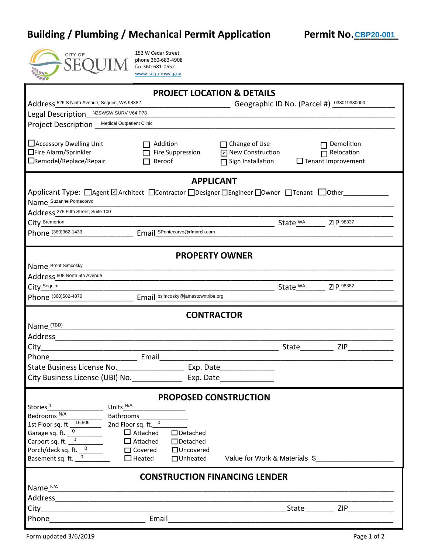## **Building / Plumbing / Mechanical Permit Application Permit No. CBP20-001**



| Building / Plumbing / Mechanical Permit Application                                                                                                               |                                                                                  |                                                                        | Permit No. CBP20-001                                         |  |  |  |  |  |  |  |
|-------------------------------------------------------------------------------------------------------------------------------------------------------------------|----------------------------------------------------------------------------------|------------------------------------------------------------------------|--------------------------------------------------------------|--|--|--|--|--|--|--|
| <b>CITY OF</b>                                                                                                                                                    | 152 W Cedar Street<br>phone 360-683-4908<br>fax 360-681-0552<br>www.sequimwa.gov |                                                                        |                                                              |  |  |  |  |  |  |  |
| <b>PROJECT LOCATION &amp; DETAILS</b>                                                                                                                             |                                                                                  |                                                                        |                                                              |  |  |  |  |  |  |  |
| Address 526 S Ninth Avenue, Sequim, WA 98382                                                                                                                      |                                                                                  |                                                                        | Geographic ID No. (Parcel #) 033019330000                    |  |  |  |  |  |  |  |
| Legal Description_N2SWSW SURV V64 P78                                                                                                                             |                                                                                  |                                                                        |                                                              |  |  |  |  |  |  |  |
| Project Description Medical Outpatient Clinic                                                                                                                     |                                                                                  |                                                                        |                                                              |  |  |  |  |  |  |  |
| □ Accessory Dwelling Unit<br>□Fire Alarm/Sprinkler<br>□Remodel/Replace/Repair                                                                                     | Addition<br>Fire Suppression<br>Reroof                                           | $\Box$ Change of Use<br>□ New Construction<br>$\Box$ Sign Installation | Demolition<br>$\Box$ Relocation<br>$\Box$ Tenant Improvement |  |  |  |  |  |  |  |
| <b>APPLICANT</b>                                                                                                                                                  |                                                                                  |                                                                        |                                                              |  |  |  |  |  |  |  |
| Applicant Type: □ Agent □ Architect □ Contractor □ Designer □ Engineer □ Owner □ Tenant □ Other<br>Name Suzanne Pontecorvo<br>Address 275 Fifth Street, Suite 100 |                                                                                  |                                                                        |                                                              |  |  |  |  |  |  |  |
| City Bremerton<br>Phone (360)362-1433                                                                                                                             | Email SPontecorvo@rfmarch.com                                                    | State WA                                                               | ZIP 98337                                                    |  |  |  |  |  |  |  |
|                                                                                                                                                                   |                                                                                  |                                                                        |                                                              |  |  |  |  |  |  |  |
| <b>PROPERTY OWNER</b>                                                                                                                                             |                                                                                  |                                                                        |                                                              |  |  |  |  |  |  |  |
| Name Brent Simcosky                                                                                                                                               |                                                                                  |                                                                        |                                                              |  |  |  |  |  |  |  |
| Address 808 North 5th Avenue                                                                                                                                      |                                                                                  |                                                                        |                                                              |  |  |  |  |  |  |  |
| City Sequim                                                                                                                                                       |                                                                                  | State WA                                                               | ZIP 98382                                                    |  |  |  |  |  |  |  |
| Phone (360)582-4870                                                                                                                                               | Email bsimcosky@jamestowntribe.org                                               |                                                                        |                                                              |  |  |  |  |  |  |  |
|                                                                                                                                                                   |                                                                                  | <b>CONTRACTOR</b>                                                      |                                                              |  |  |  |  |  |  |  |
| Name (TBD)                                                                                                                                                        |                                                                                  |                                                                        |                                                              |  |  |  |  |  |  |  |
| Address                                                                                                                                                           |                                                                                  |                                                                        |                                                              |  |  |  |  |  |  |  |
| City                                                                                                                                                              |                                                                                  |                                                                        | State ZIP                                                    |  |  |  |  |  |  |  |
| Phone and the contract of the contract of the contract of the contract of the contract of the contract of the                                                     | Email                                                                            |                                                                        |                                                              |  |  |  |  |  |  |  |
|                                                                                                                                                                   |                                                                                  |                                                                        |                                                              |  |  |  |  |  |  |  |
| City Business License (UBI) No. 5. Exp. Date                                                                                                                      |                                                                                  |                                                                        |                                                              |  |  |  |  |  |  |  |
|                                                                                                                                                                   |                                                                                  | <b>PROPOSED CONSTRUCTION</b>                                           |                                                              |  |  |  |  |  |  |  |
| Units N/A<br>Stories $\frac{1}{1}$ [100]                                                                                                                          |                                                                                  |                                                                        |                                                              |  |  |  |  |  |  |  |
|                                                                                                                                                                   | Bathrooms________________                                                        |                                                                        |                                                              |  |  |  |  |  |  |  |
| Bedrooms N/A<br>1st Floor sq. ft. $\frac{16,806}{2}$ and Floor sq. ft. 0                                                                                          |                                                                                  |                                                                        |                                                              |  |  |  |  |  |  |  |
| Garage sq. ft. $\frac{0}{0}$<br>Carport sq. ft. $\frac{0}{0}$                                                                                                     | $\Box$ Attached $\Box$ Detached                                                  |                                                                        |                                                              |  |  |  |  |  |  |  |
|                                                                                                                                                                   | $\Box$ Attached<br>□ Detached<br>□ Covered □ Uncovered                           |                                                                        |                                                              |  |  |  |  |  |  |  |
| Porch/deck sq. ft. $\frac{0}{2}$<br>Basement sq. ft. $\frac{0}{2}$<br>Basement sq. ft. $\frac{0}{0}$                                                              | $\Box$ Heated                                                                    | □ Unheated Value for Work & Materials \$                               |                                                              |  |  |  |  |  |  |  |
| <b>CONSTRUCTION FINANCING LENDER</b>                                                                                                                              |                                                                                  |                                                                        |                                                              |  |  |  |  |  |  |  |
| Name N/A                                                                                                                                                          |                                                                                  |                                                                        |                                                              |  |  |  |  |  |  |  |
|                                                                                                                                                                   |                                                                                  |                                                                        |                                                              |  |  |  |  |  |  |  |
|                                                                                                                                                                   |                                                                                  |                                                                        | State ZIP                                                    |  |  |  |  |  |  |  |
|                                                                                                                                                                   |                                                                                  |                                                                        |                                                              |  |  |  |  |  |  |  |
|                                                                                                                                                                   |                                                                                  |                                                                        |                                                              |  |  |  |  |  |  |  |